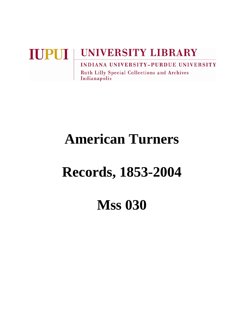# **UNIVERSITY LIBRARY IUPUI INDIANA UNIVERSITY-PURDUE UNIVERSITY**

**Ruth Lilly Special Collections and Archives** Indianapolis

# **American Turners**

# **Records, 1853-2004**

# **Mss 030**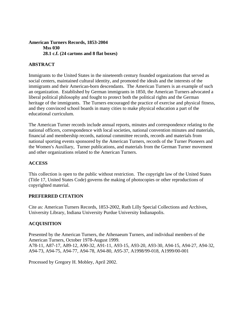#### **American Turners Records, 1853-2004 Mss 030 28.1 c.f. (24 cartons and 8 flat boxes)**

## **ABSTRACT**

Immigrants to the United States in the nineteenth century founded organizations that served as social centers, maintained cultural identity, and promoted the ideals and the interests of the immigrants and their American-born descendants. The American Turners is an example of such an organization. Established by German immigrants in 1850, the American Turners advocated a liberal political philosophy and fought to protect both the political rights and the German heritage of the immigrants. The Turners encouraged the practice of exercise and physical fitness, and they convinced school boards in many cities to make physical education a part of the educational curriculum.

The American Turner records include annual reports, minutes and correspondence relating to the national officers, correspondence with local societies, national convention minutes and materials, financial and membership records, national committee records, records and materials from national sporting events sponsored by the American Turners, records of the Turner Pioneers and the Women's Auxiliary, Turner publications, and materials from the German Turner movement and other organizations related to the American Turners.

### **ACCESS**

This collection is open to the public without restriction. The copyright law of the United States (Title 17, United States Code) governs the making of photocopies or other reproductions of copyrighted material.

### **PREFERRED CITATION**

Cite as: American Turners Records, 1853-2002, Ruth Lilly Special Collections and Archives, University Library, Indiana University Purdue University Indianapolis.

### **ACQUISITION**

Presented by the American Turners, the Athenaeum Turners, and individual members of the American Turners, October 1978-August 1999. A78-11, A87-17, A89-12, A90-32, A91-11, A93-15, A93-20, A93-30, A94-15, A94-27, A94-32, A94-73, A94-75, A94-77, A94-78, A94-80, A95-37, A1998/99-018, A1999/00-001

Processed by Gregory H. Mobley, April 2002.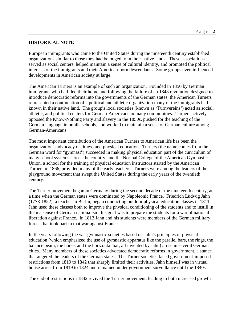#### **HISTORICAL NOTE**

European immigrants who came to the United States during the nineteenth century established organizations similar to those they had belonged to in their native lands. These associations served as social centers, helped maintain a sense of cultural identity, and promoted the political interests of the immigrants and their American-born descendants. Some groups even influenced developments in American society at large.

The American Turners is an example of such an organization. Founded in 1850 by German immigrants who had fled their homeland following the failure of an 1848 revolution designed to introduce democratic reforms into the governments of the German states, the American Turners represented a continuation of a political and athletic organization many of the immigrants had known in their native land. The group's local societies (known as "Turnvereins") acted as social, athletic, and political centers for German-Americans in many communities. Turners actively opposed the Know-Nothing Party and slavery in the 1850s, pushed for the teaching of the German language in public schools, and worked to maintain a sense of German culture among German-Americans.

The most important contribution of the American Turners to American life has been the organization's advocacy of fitness and physical education. Turners (the name comes from the German word for "gymnast") succeeded in making physical education part of the curriculum of many school systems across the country, and the Normal College of the American Gymnastic Union, a school for the training of physical education instructors started by the American Turners in 1866, provided many of the early teachers. Turners were among the leaders of the playground movement that swept the United States during the early years of the twentieth century.

The Turner movement began in Germany during the second decade of the nineteenth century, at a time when the German states were dominated by Napoleonic France. Friedrich Ludwig Jahn (1778-1852), a teacher in Berlin, began conducting outdoor physical education classes in 1811. Jahn used these classes both to improve the physical conditioning of the students and to instill in them a sense of German nationalism; his goal was to prepare the students for a war of national liberation against France. In 1813 Jahn and his students were members of the German military forces that took part in that war against France.

In the years following the war gymnastic societies based on Jahn's principles of physical education (which emphasized the use of gymnastic apparatus like the parallel bars, the rings, the balance beam, the horse, and the horizontal bar, all invented by Jahn) arose in several German cities. Many members of these societies advocated democratic reforms in government, a stance that angered the leaders of the German states. The Turner societies faced government-imposed restrictions from 1819 to 1842 that sharply limited their activities. Jahn himself was in virtual house arrest from 1819 to 1824 and remained under government surveillance until the 1840s.

The end of restrictions in 1842 revived the Turner movement, leading to both increased growth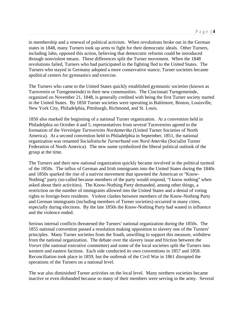in membership and a renewal of political activism. When revolutions broke out in the German states in 1848, many Turners took up arms to fight for their democratic ideals. Other Turners, including Jahn, opposed this action, believing that democratic reforms could be introduced through nonviolent means. These differences split the Turner movement. When the 1848 revolutions failed, Turners who had participated in the fighting fled to the United States. The Turners who stayed in Germany adopted a more conservative stance; Turner societies became apolitical centers for gymnastics and exercise.

The Turners who came to the United States quickly established gymnastic societies (known as Turnverein or Turngemeinde) in their new communities. The Cincinnati Turngemeinde, organized on November 21, 1848, is generally credited with being the first Turner society started in the United States. By 1850 Turner societies were operating in Baltimore, Boston, Louisville, New York City, Philadelphia, Pittsburgh, Richmond, and St. Louis.

1850 also marked the beginning of a national Turner organization. At a convention held in Philadelphia on October 4 and 5, representatives from several Turnvereins agreed to the formation of the *Vereinigte Turnvereins Nordamerika* (United Turner Societies of North America). At a second convention held in Philadelphia in September, 1851, the national organization was renamed *Socialistische Turnerbund von Nord Amerika* (Socialist Turner Federation of North America). The new name symbolized the liberal political outlook of the group at the time.

The Turners and their new national organization quickly became involved in the political turmoil of the 1850s. The influx of German and Irish immigrants into the United States during the 1840s and 1850s sparked the rise of a nativist movement that spawned the American or "Know-Nothing" party (so-called because members of the party would respond, "I know nothing" when asked about their activities). The Know-Nothing Party demanded, among other things, a restriction on the number of immigrants allowed into the United States and a denial of voting rights to foreign-born residents. Violent clashes between members of the Know-Nothing Party and German immigrants (including members of Turner societies) occurred in many cities, especially during elections. By the late 1850s the Know-Nothing Party had waned in influence and the violence ended.

Serious internal conflicts threatened the Turners' national organization during the 1850s. The 1855 national convention passed a resolution making opposition to slavery one of the Turners' principles. Many Turner societies from the South, unwilling to support this measure, withdrew from the national organization. The debate over the slavery issue and friction between the *Vorort* (the national executive committee) and some of the local societies split the Turners into western and eastern factions. Each side conducted its own conventions in 1857 and 1858. Reconciliation took place in 1859, but the outbreak of the Civil War in 1861 disrupted the operations of the Turners on a national level.

The war also diminished Turner activities on the local level. Many northern societies became inactive or even disbanded because so many of their members were serving in the army. Several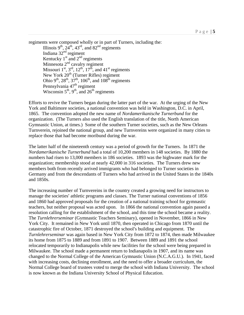regiments were composed wholly or in part of Turners, including the: Illinois  $9^{th}$ ,  $24^{th}$ ,  $43^{rd}$ , and  $82^{nd}$  regiments Indiana  $32<sup>nd</sup>$  regiment Kentucky  $1<sup>st</sup>$  and  $2<sup>nd</sup>$  regiments Minnesota  $2<sup>nd</sup>$  cavalry regiment Missouri 1<sup>st</sup>, 3<sup>rd</sup>, 12<sup>th</sup>, 17<sup>th</sup>, and 41<sup>st</sup> regiments New York 20<sup>th</sup> (Turner Rifles) regiment Ohio 9<sup>th</sup>, 28<sup>th</sup>, 37<sup>th</sup>, 106<sup>th</sup>, and 108<sup>th</sup> regiments Pennsylvania 47<sup>th</sup> regiment Wisconsin  $5<sup>th</sup>$ ,  $9<sup>th</sup>$ , and  $26<sup>th</sup>$  regiments

Efforts to revive the Turners began during the latter part of the war. At the urging of the New York and Baltimore societies, a national convention was held in Washington, D.C. in April, 1865. The convention adopted the new name of *Nordamerikanische Turnerbund* for the organization. (The Turners also used the English translation of the title, North American Gymnastic Union, at times.) Some of the southern Turner societies, such as the New Orleans Turnverein, rejoined the national group, and new Turnvereins were organized in many cities to replace those that had become moribund during the war.

The latter half of the nineteenth century was a period of growth for the Turners. In 1871 the *Nordamerikanische Turnerbund* had a total of 10,200 members in 148 societies. By 1880 the numbers had risen to 13,000 members in 186 societies. 1893 was the highwater mark for the organization; membership stood at nearly 42,000 in 316 societies. The Turners drew new members both from recently arrived immigrants who had belonged to Turner societies in Germany and from the descendants of Turners who had arrived in the United States in the 1840s and 1850s.

The increasing number of Turnvereins in the country created a growing need for instructors to manage the societies' athletic programs and classes. The Turner national conventions of 1856 and 1860 had approved proposals for the creation of a national training school for gymnastic teachers, but neither proposal was acted upon. In 1866 the national convention again passed a resolution calling for the establishment of the school, and this time the school became a reality. The *Turnlehrerseminar* (Gymnastic Teachers Seminary), opened in November, 1866 in New York City. It remained in New York until 1870, then operated in Chicago from 1870 until the catastrophic fire of October, 1871 destroyed the school's building and equipment. The *Turnlehrerseminar* was again based in New York City from 1872 to 1874, then made Milwaukee its home from 1875 to 1889 and from 1891 to 1907. Between 1889 and 1891 the school relocated temporarily to Indianapolis while new facilities for the school were being prepared in Milwaukee. The school made a permanent return to Indianapolis in 1907, and its name was changed to the Normal College of the American Gymnastic Union (N.C.A.G.U.). In 1941, faced with increasing costs, declining enrollment, and the need to offer a broader curriculum, the Normal College board of trustees voted to merge the school with Indiana University. The school is now known as the Indiana University School of Physical Education.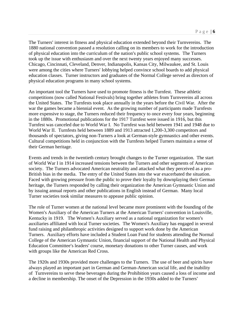The Turners' interest in fitness and physical education extended beyond their Turnvereins. The 1880 national convention passed a resolution calling on its members to work for the introduction of physical education into the curriculum of the nation's public school systems. The Turners took up the issue with enthusiasm and over the next twenty years enjoyed many successes. Chicago, Cincinnati, Cleveland, Denver, Indianapolis, Kansas City, Milwaukee, and St. Louis were among the cities where Turners' lobbying helped convince school boards to add physical education classes. Turner instructors and graduates of the Normal College served as directors of physical education programs in many school systems.

An important tool the Turners have used to promote fitness is the Turnfest. These athletic competitions (now called National Festivals) bring together athletes from Turnvereins all across the United States. The Turnfests took place annually in the years before the Civil War. After the war the games became a biennial event. As the growing number of participants made Turnfests more expensive to stage, the Turners reduced their frequency to once every four years, beginning in the 1880s. Promotional publications for the 1917 Turnfest were issued in 1916, but this Turnfest was canceled due to World War I. No Turnfest was held between 1941 and 1948 due to World War II. Turnfests held between 1889 and 1913 attracted 1,200-3,300 competitors and thousands of spectators, giving non-Turners a look at German-style gymnastics and other events. Cultural competitions held in conjunction with the Turnfests helped Turners maintain a sense of their German heritage.

Events and trends in the twentieth century brought changes to the Turner organization. The start of World War I in 1914 increased tensions between the Turners and other segments of American society. The Turners advocated American neutrality and attacked what they perceived as a pro-British bias in the media. The entry of the United States into the war exacerbated the situation. Faced with growing pressure from the public to prove their loyalty by downplaying their German heritage, the Turners responded by calling their organization the American Gymnastic Union and by issuing annual reports and other publications in English instead of German. Many local Turner societies took similar measures to appease public opinion.

The role of Turner women at the national level became more prominent with the founding of the Women's Auxiliary of the American Turners at the American Turners' convention in Louisville, Kentucky in 1919. The Women's Auxiliary served as a national organization for women's auxiliaries affiliated with local Turner societies. The Women's Auxiliary has engaged in several fund raising and philanthropic activities designed to support work done by the American Turners. Auxiliary efforts have included a Student Loan Fund for students attending the Normal College of the American Gymnastic Union, financial support of the National Health and Physical Education Committee's leaders' course, monetary donations to other Turner causes, and work with groups like the American Red Cross.

The 1920s and 1930s provided more challenges to the Turners. The use of beer and spirits have always played an important part in German and German-American social life, and the inability of Turnvereins to serve these beverages during the Prohibition years caused a loss of income and a decline in membership. The onset of the Depression in the 1930s added to the Turners'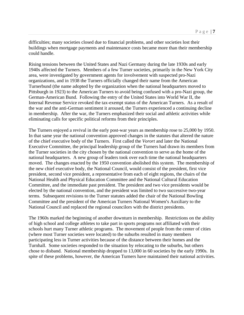difficulties; many societies closed due to financial problems, and other societies lost their buildings when mortgage payments and maintenance costs became more than their membership could handle.

Rising tensions between the United States and Nazi Germany during the late 1930s and early 1940s affected the Turners. Members of a few Turner societies, primarily in the New York City area, were investigated by government agents for involvement with suspected pro-Nazi organizations, and in 1938 the Turners officially changed their name from the American Turnerbund (the name adopted by the organization when the national headquarters moved to Pittsburgh in 1923) to the American Turners to avoid being confused with a pro-Nazi group, the German-American Bund. Following the entry of the United States into World War II, the Internal Revenue Service revoked the tax-exempt status of the American Turners. As a result of the war and the anti-German sentiment it aroused, the Turners experienced a continuing decline in membership. After the war, the Turners emphasized their social and athletic activities while eliminating calls for specific political reforms from their principles.

The Turners enjoyed a revival in the early post-war years as membership rose to 25,000 by 1950. In that same year the national convention approved changes in the statutes that altered the nature of the chief executive body of the Turners. First called the *Vorort* and later the National Executive Committee, the principal leadership group of the Turners had drawn its members from the Turner societies in the city chosen by the national convention to serve as the home of the national headquarters. A new group of leaders took over each time the national headquarters moved. The changes enacted by the 1950 convention abolished this system. The membership of the new chief executive body, the National Council, would consist of the president, first vice president, second vice president, a representative from each of eight regions, the chairs of the National Health and Physical Education Committee and the National Cultural Education Committee, and the immediate past president. The president and two vice presidents would be elected by the national convention, and the president was limited to two successive two-year terms. Subsequent revisions to the Turner statutes added the chair of the National Bowling Committee and the president of the American Turners National Women's Auxiliary to the National Council and replaced the regional councilors with the district presidents.

The 1960s marked the beginning of another downturn in membership. Restrictions on the ability of high school and college athletes to take part in sports programs not affiliated with their schools hurt many Turner athletic programs. The movement of people from the center of cities (where most Turner societies were located) to the suburbs resulted in many members participating less in Turner activities because of the distance between their homes and the Turnhall. Some societies responded to the situation by relocating to the suburbs, but others chose to disband. National membership dropped to 13,000 in 60 societies by the early 1990s. In spite of these problems, however, the American Turners have maintained their national activities.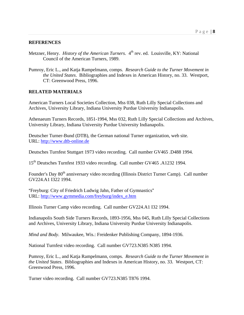#### **REFERENCES**

- Metzner, Henry. *History of the American Turners*. 4<sup>th</sup> rev. ed. Louisville, KY: National Council of the American Turners, 1989.
- Pumroy, Eric L., and Katja Rampelmann, comps. *Research Guide to the Turner Movement in the United States*. Bibliographies and Indexes in American History, no. 33. Westport, CT: Greenwood Press, 1996.

#### **RELATED MATERIALS**

American Turners Local Societies Collection, Mss 038, Ruth Lilly Special Collections and Archives, University Library, Indiana University Purdue University Indianapolis.

Athenaeum Turners Records, 1851-1994, Mss 032, Ruth Lilly Special Collections and Archives, University Library, Indiana University Purdue University Indianapolis.

Deutscher Turner-Bund (DTB), the German national Turner organization, web site. URL: http://www.dtb-online.de

Deutsches Turnfest Stuttgart 1973 video recording. Call number GV465 .D488 1994.

15th Deutsches Turnfest 1933 video recording. Call number GV465 .A1232 1994.

Founder's Day 80<sup>th</sup> anniversary video recording (Illinois District Turner Camp). Call number GV224.A1 I322 1994.

"Freyburg: City of Friedrich Ludwig Jahn, Father of Gymnastics" URL: http://www.gymmedia.com/freyburg/index\_e.htm

Illinois Turner Camp video recording. Call number GV224.A1 I32 1994.

Indianapolis South Side Turners Records, 1893-1956, Mss 045, Ruth Lilly Special Collections and Archives, University Library, Indiana University Purdue University Indianapolis.

*Mind and Body*. Milwaukee, Wis.: Freidenker Publishing Company, 1894-1936.

National Turnfest video recording. Call number GV723.N385 N385 1994.

Pumroy, Eric L., and Katja Rampelmann, comps. *Research Guide to the Turner Movement in the United States*. Bibliographies and Indexes in American History, no. 33. Westport, CT: Greenwood Press, 1996.

Turner video recording. Call number GV723.N385 T876 1994.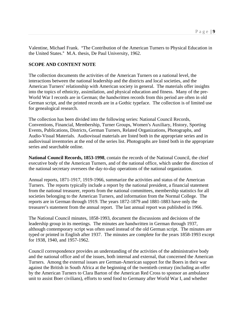Valentine, Michael Frank. "The Contribution of the American Turners to Physical Education in the United States." M.A. thesis, De Paul University, 1962.

#### **SCOPE AND CONTENT NOTE**

The collection documents the activities of the American Turners on a national level, the interactions between the national leadership and the districts and local societies, and the American Turners' relationship with American society in general. The materials offer insights into the topics of ethnicity, assimilation, and physical education and fitness. Many of the pre-World War I records are in German; the handwritten records from this period are often in old German script, and the printed records are in a Gothic typeface. The collection is of limited use for genealogical research.

The collection has been divided into the following series: National Council Records, Conventions, Financial, Membership, Turner Groups, Women's Auxiliary, History, Sporting Events, Publications, Districts, German Turners, Related Organizations, Photographs, and Audio-Visual Materials. Audiovisual materials are listed both in the appropriate series and in audiovisual inventories at the end of the series list. Photographs are listed both in the appropriate series and searchable online.

**National Council Records, 1853-1998**, contain the records of the National Council, the chief executive body of the American Turners, and of the national office, which under the direction of the national secretary oversees the day-to-day operations of the national organization.

Annual reports, 1871-1917, 1919-1966, summarize the activities and status of the American Turners. The reports typically include a report by the national president, a financial statement from the national treasurer, reports from the national committees, membership statistics for all societies belonging to the American Turners, and information from the Normal College. The reports are in German through 1919. The years 1872-1879 and 1881-1883 have only the treasurer's statement from the annual report. The last annual report was published in 1966.

The National Council minutes, 1858-1993, document the discussions and decisions of the leadership group in its meetings. The minutes are handwritten in German through 1937, although contemporary script was often used instead of the old German script. The minutes are typed or printed in English after 1937. The minutes are complete for the years 1858-1993 except for 1938, 1940, and 1957-1962.

Council correspondence provides an understanding of the activities of the administrative body and the national office and of the issues, both internal and external, that concerned the American Turners. Among the external issues are German-American support for the Boers in their war against the British in South Africa at the beginning of the twentieth century (including an offer by the American Turners to Clara Barton of the American Red Cross to sponsor an ambulance unit to assist Boer civilians), efforts to send food to Germany after World War I, and whether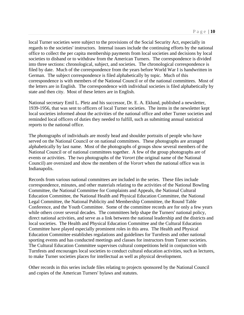local Turner societies were subject to the provisions of the Social Security Act, especially in regards to the societies' instructors. Internal issues include the continuing efforts by the national office to collect the per capita membership payments from local societies and decisions by local societies to disband or to withdraw from the American Turners. The correspondence is divided into three sections: chronological, subject, and societies. The chronological correspondence is filed by date. Much of the correspondence from the years before World War I is handwritten in German. The subject correspondence is filed alphabetically by topic. Much of this correspondence is with members of the National Council or of the national committees. Most of the letters are in English. The correspondence with individual societies is filed alphabetically by state and then city. Most of these letters are in English.

National secretary Emil L. Pletz and his successor, Dr. E. A. Eklund, published a newsletter, 1939-1956, that was sent to officers of local Turner societies. The items in the newsletter kept local societies informed about the activities of the national office and other Turner societies and reminded local officers of duties they needed to fulfill, such as submitting annual statistical reports to the national office.

The photographs of individuals are mostly head and shoulder portraits of people who have served on the National Council or on national committees. These photographs are arranged alphabetically by last name. Most of the photographs of groups show several members of the National Council or of national committees together. A few of the group photographs are of events or activities. The two photographs of the *Vorort* (the original name of the National Council) are oversized and show the members of the *Vorort* when the national office was in Indianapolis.

Records from various national committees are included in the series. These files include correspondence, minutes, and other materials relating to the activities of the National Bowling Committee, the National Committee for Complaints and Appeals, the National Cultural Education Committee, the National Health and Physical Education Committee, the National Legal Committee, the National Publicity and Membership Committee, the Round Table Conference, and the Youth Committee. Some of the committee records are for only a few years while others cover several decades. The committees help shape the Turners' national policy, direct national activities, and serve as a link between the national leadership and the districts and local societies. The Health and Physical Education Committee and the Cultural Education Committee have played especially prominent roles in this area. The Health and Physical Education Committee establishes regulations and guidelines for Turnfests and other national sporting events and has conducted meetings and classes for instructors from Turner societies. The Cultural Education Committee supervises cultural competitions held in conjunction with Turnfests and encourages local societies to conduct cultural education activities, such as lectures, to make Turner societies places for intellectual as well as physical development.

Other records in this series include files relating to projects sponsored by the National Council and copies of the American Turners' bylaws and statutes.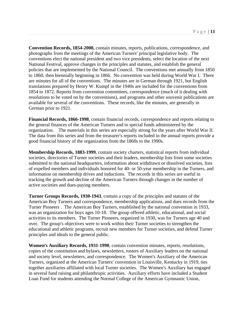**Convention Records, 1854-2000,** contain minutes, reports, publications, correspondence, and photographs from the meetings of the American Turners' principal legislative body. The conventions elect the national president and two vice presidents, select the location of the next National Festival, approve changes in the principles and statutes, and establish the general policies that are implemented by the National Council. The conventions met annually from 1850 to 1860, then biennially beginning in 1866. No convention was held during World War I. There are minutes for all of the conventions. The minutes are in German through 1921, but English translations prepared by Henry W. Kumpf in the 1940s are included for the conventions from 1854 to 1872. Reports from convention committees, correspondence (much of it dealing with resolutions to be voted on by the conventions), and programs and other souvenir publications are available for several of the conventions. These records, like the minutes, are generally in German prior to 1921.

**Financial Records, 1866-1998**, contain financial records, correspondence and reports relating to the general finances of the American Turners and to special funds administered by the organization. The materials in this series are especially strong for the years after World War II. The data from this series and from the treasurer's reports included in the annual reports provide a good financial history of the organization from the 1860s to the 1990s.

**Membership Records, 1883-1999**, contain society charters, statistical reports from individual societies, directories of Turner societies and their leaders, membership lists from some societies submitted to the national headquarters, information about withdrawn or dissolved societies, lists of expelled members and individuals honored for 40- or 50-year membership in the Turners, and information on membership drives and inductions. The records in this series are useful in tracking the growth and decline of the American Turners through changes in the number of active societies and dues-paying members.

**Turner Groups Records, 1930-1943**, contain a copy of the principles and statutes of the American Boy Turners and correspondence, membership applications, and dues records from the Turner Pioneers . The American Boy Turners, established by the national convention in 1933, was an organization for boys ages 10-18. The group offered athletic, educational, and social activities to its members. The Turner Pioneers, organized in 1930, was for Turners age 40 and over. The group's objectives were to work within their Turner societies to strengthen the educational and athletic programs, recruit new members for Turner societies, and defend Turner principles and ideals to the general public.

**Women's Auxiliary Records, 1931-1990**, contain convention minutes, reports, resolutions, copies of the constitution and bylaws, newsletters, rosters of Auxiliary leaders on the national and society level, newsletters, and correspondence. The Women's Auxiliary of the American Turners, organized at the American Turners' convention in Louisville, Kentucky in 1919, ties together auxiliaries affiliated with local Turner societies. The Women's Auxiliary has engaged in several fund raising and philanthropic activities. Auxiliary efforts have included a Student Loan Fund for students attending the Normal College of the American Gymnastic Union,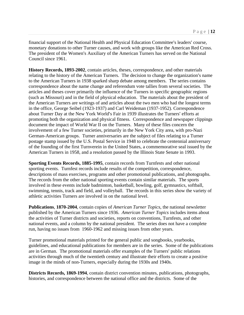financial support of the National Health and Physical Education Committee's leaders' course, monetary donations to other Turner causes, and work with groups like the American Red Cross. The president of the Women's Auxiliary of the American Turners has served on the National Council since 1961.

**History Records, 1893-2002**, contain articles, theses, correspondence, and other materials relating to the history of the American Turners. The decision to change the organization's name to the American Turners in 1938 sparked sharp debate among members. The series contains correspondence about the name change and referendum vote tallies from several societies. The articles and theses cover primarily the influence of the Turners in specific geographic regions (such as Missouri) and in the field of physical education. The materials about the president of the American Turners are writings of and articles about the two men who had the longest terms in the office, George Seibel (1923-1937) and Carl Weideman (1937-1952). Correspondence about Turner Day at the New York World's Fair in 1939 illustrates the Turners' efforts at promoting both the organization and physical fitness. Correspondence and newspaper clippings document the impact of World War II on the Turners. Many of these files concern the involvement of a few Turner societies, primarily in the New York City area, with pro-Nazi German-American groups. Turner anniversaries are the subject of files relating to a Turner postage stamp issued by the U.S. Postal Service in 1948 to celebrate the centennial anniversary of the founding of the first Turnverein in the United States, a commemorative seal issued by the American Turners in 1958, and a resolution passed by the Illinois State Senate in 1993.

**Sporting Events Records, 1885-1995**, contain records from Turnfests and other national sporting events. Turnfest records include results of the competition, correspondence, descriptions of mass exercises, programs and other promotional publications, and photographs. The records from the other national sporting events contain similar materials. The sports involved in these events include badminton, basketball, bowling, golf, gymnastics, softball, swimming, tennis, track and field, and volleyball. The records in this series show the variety of athletic activities Turners are involved in on the national level.

**Publications**, **1870-2004**, contain copies of *American Turner Topics*, the national newsletter published by the American Turners since 1936. *American Turner Topics* includes items about the activities of Turner districts and societies, reports on conventions, Turnfests, and other national events, and a column by the national president. The series does not have a complete run, having no issues from 1960-1962 and missing issues from other years.

Turner promotional materials printed for the general public and songbooks, yearbooks, guidelines, and educational publications for members are in the series. Some of the publications are in German. The promotional materials offer examples of the Turners' public relations activities through much of the twentieth century and illustrate their efforts to create a positive image in the minds of non-Turners, especially during the 1930s and 1940s.

**Districts Records, 1869-1994**, contain district convention minutes, publications, photographs, histories, and correspondence between the national office and the districts. Some of the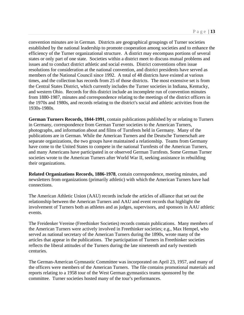convention minutes are in German. Districts are geographical groupings of Turner societies established by the national leadership to promote cooperation among societies and to enhance the efficiency of the Turner organizational structure. A district may encompass portions of several states or only part of one state. Societies within a district meet to discuss mutual problems and issues and to conduct district athletic and social events. District conventions often issue resolutions for consideration at the national convention, and district presidents have served as members of the National Council since 1992. A total of 48 districts have existed at various times, and the collection has records from 25 of those districts. The most extensive set is from the Central States District, which currently includes the Turner societies in Indiana, Kentucky, and western Ohio. Records for this district include an incomplete run of convention minutes from 1880-1987, minutes and correspondence relating to the meetings of the district officers in the 1970s and 1980s, and records relating to the district's social and athletic activities from the 1930s-1980s.

**German Turners Records, 1844-1991**, contain publications published by or relating to Turners in Germany, correspondence from German Turner societies to the American Turners, photographs, and information about and films of Turnfests held in Germany. Many of the publications are in German. While the American Turners and the Deutsche Turnerschaft are separate organizations, the two groups have maintained a relationship. Teams from Germany have come to the United States to compete in the national Turnfests of the American Turners, and many Americans have participated in or observed German Turnfests. Some German Turner societies wrote to the American Turners after World War II, seeking assistance in rebuilding their organizations.

**Related Organizations Records, 1886-1978**, contain correspondence, meeting minutes, and newsletters from organizations (primarily athletic) with which the American Turners have had connections.

The American Athletic Union (AAU) records include the articles of alliance that set out the relationship between the American Turners and AAU and event records that highlight the involvement of Turners both as athletes and as judges, supervisors, and sponsors in AAU athletic events.

The Freidenker Vereine (Freethinker Societies) records contain publications. Many members of the American Turners were actively involved in Freethinker societies; e.g., Max Hempel, who served as national secretary of the American Turners during the 1890s, wrote many of the articles that appear in the publications. The participation of Turners in Freethinker societies reflects the liberal attitudes of the Turners during the late nineteenth and early twentieth centuries.

The German-American Gymnastic Committee was incorporated on April 23, 1957, and many of the officers were members of the American Turners. The file contains promotional materials and reports relating to a 1958 tour of the West German gymnastics teams sponsored by the committee. Turner societies hosted many of the tour's performances.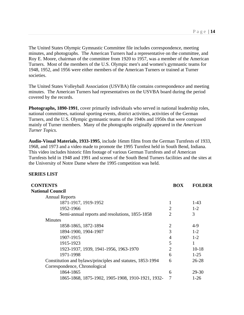The United States Olympic Gymnastic Committee file includes correspondence, meeting minutes, and photographs. The American Turners had a representative on the committee, and Roy E. Moore, chairman of the committee from 1920 to 1957, was a member of the American Turners. Most of the members of the U.S. Olympic men's and women's gymnastic teams for 1948, 1952, and 1956 were either members of the American Turners or trained at Turner societies.

The United States Volleyball Association (USVBA) file contains correspondence and meeting minutes. The American Turners had representatives on the USVBA board during the period covered by the records.

**Photographs, 1890-1991**, cover primarily individuals who served in national leadership roles, national committees, national sporting events, district activities, activities of the German Turners, and the U.S. Olympic gymnastic teams of the 1940s and 1950s that were composed mainly of Turner members. Many of the photographs originally appeared in the *American Turner Topics.*

**Audio-Visual Materials, 1933-1995**, include 16mm films from the German Turnfests of 1933, 1968, and 1973 and a video made to promote the 1995 Turnfest held in South Bend, Indiana. This video includes historic film footage of various German Turnfests and of American Turnfests held in 1948 and 1991 and scenes of the South Bend Turners facilities and the sites at the University of Notre Dame where the 1995 competition was held.

#### **SERIES LIST**

| <b>CONTENTS</b>                                            | <b>BOX</b>                  | <b>FOLDER</b> |
|------------------------------------------------------------|-----------------------------|---------------|
| <b>National Council</b>                                    |                             |               |
| <b>Annual Reports</b>                                      |                             |               |
| 1871-1917, 1919-1952                                       |                             | $1-43$        |
| 1952-1966                                                  | $\overline{2}$              | $1 - 2$       |
| Semi-annual reports and resolutions, 1855-1858             | $\mathcal{D}_{\mathcal{L}}$ | 3             |
| <b>Minutes</b>                                             |                             |               |
| 1858-1865, 1872-1894                                       | $\overline{2}$              | 4-9           |
| 1894-1900, 1904-1907                                       | 3                           | $1 - 2$       |
| 1907-1915                                                  | $\overline{4}$              | $1 - 2$       |
| 1915-1923                                                  | 5                           | 1             |
| 1923-1937, 1939, 1941-1956, 1963-1970                      | $\overline{2}$              | $10 - 18$     |
| 1971-1998                                                  | 6                           | $1-25$        |
| Constitution and bylaws/principles and statutes, 1853-1994 | 6                           | 26-28         |
| Correspondence, Chronological                              |                             |               |
| 1864-1865                                                  | 6                           | $29 - 30$     |
| 1865-1868, 1875-1902, 1905-1908, 1910-1921, 1932-          | 7                           | $1-26$        |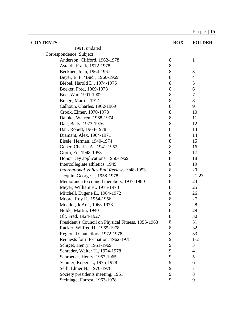| <b>CONTENTS</b>                                    | <b>BOX</b> | <b>FOLDER</b>    |
|----------------------------------------------------|------------|------------------|
| 1991, undated                                      |            |                  |
| Correspondence, Subject                            |            |                  |
| Anderson, Clifford, 1962-1978                      | 8          | $\mathbf{1}$     |
| Astaldi, Frank, 1972-1978                          | 8          | $\boldsymbol{2}$ |
| Beckner, John, 1964-1967                           | 8          | 3                |
| Beyer, E. F. "Bud", 1966-1969                      | 8          | $\overline{4}$   |
| Biebel, Harold D., 1974-1976                       | 8          | 5                |
| Boeker, Fred, 1969-1978                            | 8          | 6                |
| Boer War, 1901-1902                                | 8          | $\tau$           |
| Bunge, Martin, 1914                                | 8          | $8\,$            |
| Calhoun, Charles, 1962-1969                        | 8          | 9                |
| Crook, Elmer, 1970-1978                            | 8          | 10               |
| Dalbke, Warren, 1968-1974                          | 8          | 11               |
| Dau, Betty, 1973-1976                              | 8          | 12               |
| Dau, Robert, 1968-1978                             | $8\,$      | 13               |
| Diamant, Alex, 1964-1971                           | 8          | 14               |
| Eisele, Herman, 1940-1974                          | 8          | 15               |
| Geber, Charles A., 1941-1952                       | 8          | 16               |
| Groth, Ed, 1948-1958                               | 8          | 17               |
| Honor Key applications, 1950-1969                  | $8\,$      | 18               |
| Intercollegiate athletics, 1949                    | 8          | 19               |
| International Volley Ball Review, 1948-1953        | 8          | 20               |
| Jacquin, George J., 1958-1978                      | 8          | 21-23            |
| Memoranda to council members, 1937-1980            | 8          | 24               |
| Meyer, William R., 1975-1978                       | 8          | 25               |
| Mitchell, Eugene E., 1964-1972                     | 8          | 26               |
| Moore, Roy E., 1954-1956                           | 8          | 27               |
| Mueller, JoAnn, 1968-1978                          | 8          | 28               |
| Nolde, Martin, 1940                                | $8\,$      | 29               |
| Olt, Fred, 1924-1927                               | 8          | 30               |
| President's Council on Physical Fitness, 1955-1963 | 8          | 31               |
| Racker, Wilfred H., 1965-1978                      | 8          | 32               |
| Regional Councilors, 1972-1978                     | 8          | 33               |
| Requests for information, 1962-1978                | 9          | $1 - 2$          |
| Schiget, Henry, 1951-1969                          | 9          | 3                |
| Schrader, Walter H., 1974-1978                     | 9          | 4                |
| Schroeder, Henry, 1957-1965                        | 9          | 5                |
| Schuler, Robert J., 1975-1978                      | 9          | 6                |
| Serb, Elmer N., 1976-1978                          | 9          | 7                |
| Society presidents meeting, 1961                   | 9          | 8                |
| Steinlage, Forrest, 1963-1978                      | 9          | 9                |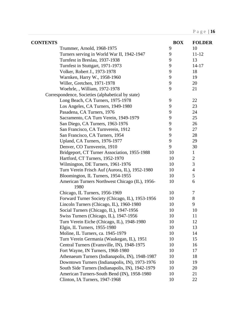| <b>CONTENTS</b>                                   | <b>BOX</b> | <b>FOLDER</b>  |
|---------------------------------------------------|------------|----------------|
| Trummer, Arnold, 1968-1975                        | 9          | 10             |
| Turners serving in World War II, 1942-1947        | 9          | $11 - 12$      |
| Turnfest in Breslau, 1937-1938                    | 9          | 13             |
| Turnfest in Stuttgart, 1971-1973                  | 9          | $14 - 17$      |
| Volker, Robert J., 1973-1978                      | 9          | 18             |
| Warnken, Harry W., 1958-1960                      | 9          | 19             |
| Willer, Gretchen, 1971-1978                       | 9          | 20             |
| Woehrle, , William, 1972-1978                     | 9          | 21             |
| Correspondence, Societies (alphabetical by state) |            |                |
| Long Beach, CA Turners, 1975-1978                 | 9          | 22             |
| Los Angeles, CA Turners, 1949-1980                | 9          | 23             |
| Pasadena, CA Turners, 1976                        | 9          | 24             |
| Sacramento, CA Turn Verein, 1949-1979             | 9          | 25             |
| San Diego, CA Turners, 1963-1976                  | 9          | 26             |
| San Francisco, CA Turnverein, 1912                | 9          | 27             |
| San Francisco, CA Turners, 1954                   | 9          | 28             |
| Upland, CA Turners, 1976-1977                     | 9          | 29             |
| Denver, CO Turnverein, 1910                       | 9          | 30             |
| Bridgeport, CT Turner Association, 1955-1988      | 10         | $\mathbf{1}$   |
| Hartford, CT Turners, 1952-1970                   | 10         | $\overline{c}$ |
| Wilmington, DE Turners, 1961-1976                 | 10         | 3              |
| Turn Verein Frisch Auf (Aurora, IL), 1952-1980    | 10         | $\overline{4}$ |
| Bloomington, IL Turners, 1954-1955                | 10         | 5              |
| American Turners Northwest Chicago (IL), 1956-    | 10         | 6              |
| 1980                                              |            |                |
| Chicago, IL Turners, 1956-1969                    | 10         | 7              |
| Forward Turner Society (Chicago, IL), 1953-1956   | 10         | 8              |
| Lincoln Turners (Chicago, IL), 1960-1980          | 10         | 9              |
| Social Turners (Chicago, IL), 1947-1956           | 10         | 10             |
| Swiss Turners (Chicago, IL), 1947-1956            | 10         | 11             |
| Turn Verein Eiche (Chicago, IL), 1948-1980        | 10         | 12             |
| Elgin, IL Turners, 1955-1980                      | 10         | 13             |
| Moline, IL Turners, ca. 1945-1979                 | 10         | 14             |
| Turn Verein Germania (Waukegan, IL), 1951         | 10         | 15             |
| Central Turners (Evansville, IN), 1948-1975       | 10         | 16             |
| Fort Wayne, IN Turners, 1968-1980                 | 10         | 17             |
| Athenaeum Turners (Indianapolis, IN), 1948-1987   | 10         | 18             |
| Downtown Turners (Indianapolis, IN), 1973-1976    | 10         | 19             |
| South Side Turners (Indianapolis, IN), 1942-1979  | 10         | 20             |
| American Turners-South Bend (IN), 1958-1980       | 10         | 21             |
| Clinton, IA Turners, 1947-1968                    | 10         | 22             |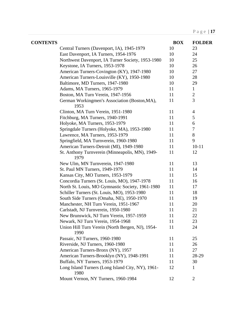| <b>CONTENTS</b> |                                                           | <b>BOX</b> | <b>FOLDER</b>  |
|-----------------|-----------------------------------------------------------|------------|----------------|
|                 | Central Turners (Davenport, IA), 1945-1979                | 10         | 23             |
|                 | East Davenport, IA Turners, 1954-1976                     | 10         | 24             |
|                 | Northwest Davenport, IA Turner Society, 1953-1980         | 10         | 25             |
|                 | Keystone, IA Turners, 1953-1978                           | 10         | 26             |
|                 | American Turners-Covington (KY), 1947-1980                | 10         | 27             |
|                 | American Turners-Louisville (KY), 1950-1980               | 10         | 28             |
|                 | Baltimore, MD Turners, 1947-1980                          | 10         | 29             |
|                 | Adams, MA Turners, 1965-1979                              | 11         | $\mathbf{1}$   |
|                 | Boston, MA Turn Verein, 1947-1956                         | 11         | $\mathbf{2}$   |
|                 | German Workingmen's Association (Boston, MA),<br>1953     | 11         | 3              |
|                 | Clinton, MA Turn Verein, 1951-1980                        | 11         | 4              |
|                 | Fitchburg, MA Turners, 1940-1991                          | 11         | 5              |
|                 | Holyoke, MA Turners, 1953-1979                            | 11         | 6              |
|                 | Springdale Turners (Holyoke, MA), 1953-1980               | 11         | 7              |
|                 | Lawrence, MA Turners, 1953-1979                           | 11         | $8\,$          |
|                 | Springfield, MA Turnverein, 1960-1980                     | 11         | 9              |
|                 | American Turners-Detroit (MI), 1949-1980                  | 11         | $10 - 11$      |
|                 | St. Anthony Turnverein (Minneapolis, MN), 1949-<br>1979   | 11         | 12             |
|                 | New Ulm, MN Turnverein, 1947-1980                         | 11         | 13             |
|                 | St. Paul MN Turners, 1949-1979                            | 11         | 14             |
|                 | Kansas City, MO Turners, 1953-1979                        | 11         | 15             |
|                 | Concordia Turners (St. Louis, MO), 1947-1978              | 11         | 16             |
|                 | North St. Louis, MO Gymnastic Society, 1961-1980          | 11         | 17             |
|                 | Schiller Turners (St. Louis, MO), 1953-1980               | 11         | 18             |
|                 | South Side Turners (Omaha, NE), 1950-1970                 | 11         | 19             |
|                 | Manchester, NH Turn Verein, 1951-1967                     | 11         | 20             |
|                 | Carlstadt, NJ Turnverein, 1950-1980                       | 11         | 21             |
|                 | New Brunswick, NJ Turn Verein, 1957-1959                  | 11         | 22             |
|                 | Newark, NJ Turn Verein, 1954-1968                         | 11         | 23             |
|                 | Union Hill Turn Verein (North Bergen, NJ), 1954-<br>1990  | 11         | 24             |
|                 | Passaic, NJ Turners, 1960-1980                            | 11         | 25             |
|                 | Riverside, NJ Turners, 1960-1980                          | 11         | 26             |
|                 | American Turners-Bronx (NY), 1957                         | 11         | 27             |
|                 | American Turners-Brooklyn (NY), 1948-1991                 | 11         | 28-29          |
|                 | Buffalo, NY Turners, 1953-1979                            | 11         | 30             |
|                 | Long Island Turners (Long Island City, NY), 1961-<br>1980 | 12         | 1              |
|                 | Mount Vernon, NY Turners, 1960-1984                       | 12         | $\overline{2}$ |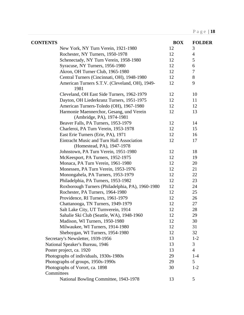| <b>CONTENTS</b> |                                                                         | <b>BOX</b> | <b>FOLDER</b>  |
|-----------------|-------------------------------------------------------------------------|------------|----------------|
|                 | New York, NY Turn Verein, 1921-1980                                     | 12         | 3              |
|                 | Rochester, NY Turners, 1950-1978                                        | 12         | $\overline{4}$ |
|                 | Schenectady, NY Turn Verein, 1958-1980                                  | 12         | 5              |
|                 | Syracuse, NY Turners, 1956-1980                                         | 12         | 6              |
|                 | Akron, OH Turner Club, 1965-1980                                        | 12         | 7              |
|                 | Central Turners (Cincinnati, OH), 1948-1980                             | 12         | $8\,$          |
|                 | American Turners S.T.V. (Cleveland, OH), 1949-<br>1981                  | 12         | 9              |
|                 | Cleveland, OH East Side Turners, 1962-1979                              | 12         | 10             |
|                 | Dayton, OH Liederkranz Turners, 1951-1975                               | 12         | 11             |
|                 | American Turners-Toledo (OH), 1967-1980                                 | 12         | 12             |
|                 | Harmonie Maennerchor, Gesang, und Verein<br>(Ambridge, PA), 1974-1981   | 12         | 13             |
|                 | Beaver Falls, PA Turners, 1953-1979                                     | 12         | 14             |
|                 | Charleroi, PA Turn Verein, 1953-1978                                    | 12         | 15             |
|                 | East Erie Turners (Erie, PA), 1971                                      | 12         | 16             |
|                 | Eintracht Music and Turn Hall Association<br>(Homestead, PA), 1947-1978 | 12         | 17             |
|                 | Johnstown, PA Turn Verein, 1951-1980                                    | 12         | 18             |
|                 | McKeesport, PA Turners, 1952-1975                                       | 12         | 19             |
|                 | Monaca, PA Turn Verein, 1961-1980                                       | 12         | 20             |
|                 | Monessen, PA Turn Verein, 1953-1976                                     | 12         | 21             |
|                 | Monongahela, PA Turners, 1953-1979                                      | 12         | 22             |
|                 | Philadelphia, PA Turners, 1953-1982                                     | 12         | 23             |
|                 | Roxborough Turners (Philadelphia, PA), 1960-1980                        | 12         | 24             |
|                 | Rochester, PA Turners, 1964-1980                                        | 12         | 25             |
|                 | Providence, RI Turners, 1961-1979                                       | 12         | 26             |
|                 | Chattanooga, TN Turners, 1949-1979                                      | 12         | 27             |
|                 | Salt Lake City, UT Turnverein, 1914                                     | 12         | 28             |
|                 | Sahalie Ski Club (Seattle, WA), 1948-1960                               | 12         | 29             |
|                 | Madison, WI Turners, 1950-1980                                          | 12         | 30             |
|                 | Milwaukee, WI Turners, 1914-1980                                        | 12         | 31             |
|                 | Sheboygan, WI Turners, 1954-1980                                        | 12         | 32             |
|                 | Secretary's Newsletter, 1939-1956                                       | 13         | $1 - 2$        |
|                 | National Speaker's Bureau, 1946                                         | 13         | 3              |
|                 | Poster project, ca. 1920                                                | 13         | $\overline{4}$ |
|                 | Photographs of individuals, 1930s-1980s                                 | 29         | $1-4$          |
|                 | Photographs of groups, 1950s-1990s                                      | 29         | 5              |
|                 | Photographs of Vorort, ca. 1898                                         | 30         | $1 - 2$        |
| Committees      |                                                                         |            |                |
|                 | National Bowling Committee, 1943-1978                                   | 13         | 5              |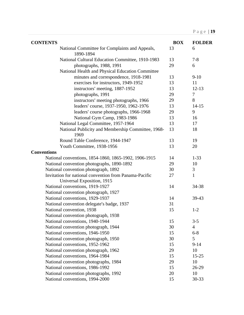| <b>CONTENTS</b>                                             | <b>BOX</b> | <b>FOLDER</b>  |
|-------------------------------------------------------------|------------|----------------|
| National Committee for Complaints and Appeals,<br>1890-1894 | 13         | 6              |
| National Cultural Education Committee, 1910-1983            | 13         | $7 - 8$        |
| photographs, 1988, 1991                                     | 29         | 6              |
| National Health and Physical Education Committee            |            |                |
| minutes and correspondence, 1918-1981                       | 13         | $9-10$         |
| exercises for instructors, 1949-1952                        | 13         | 11             |
| instructors' meeting, 1887-1952                             | 13         | $12 - 13$      |
| photographs, 1991                                           | 29         | $\tau$         |
| instructors' meeting photographs, 1966                      | 29         | 8              |
| leaders' course, 1937-1950, 1962-1976                       | 13         | $14 - 15$      |
| leaders' course photographs, 1966-1968                      | 29         | 9              |
| National Gym Camp, 1983-1986                                | 13         | 16             |
| National Legal Committee, 1957-1964                         | 13         | 17             |
| National Publicity and Membership Committee, 1968-<br>1969  | 13         | 18             |
| Round Table Conference, 1944-1947                           | 13         | 19             |
| Youth Committee, 1938-1956                                  | 13         | 20             |
| <b>Conventions</b>                                          |            |                |
| National conventions, 1854-1860, 1865-1902, 1906-1915       | 14         | $1 - 33$       |
| National convention photographs, 1890-1892                  | 29         | 10             |
| National convention photograph, 1892                        | 30         | 3              |
| Invitation for national convention from Panama-Pacific      | 27         | $\mathbf{1}$   |
| Universal Exposition, 1915                                  |            |                |
| National conventions, 1919-1927                             | 14         | 34-38          |
| National convention photograph, 1927                        |            |                |
| National conventions, 1929-1937                             | 14         | 39-43          |
| National convention delegate's badge, 1937                  | 31         |                |
| National convention, 1938                                   | 15         | $1 - 2$        |
| National convention photograph, 1938                        |            |                |
| National conventions, 1940-1944                             | 15         | $3 - 5$        |
| National convention photograph, 1944                        | 30         | $\overline{4}$ |
| National conventions, 1946-1950                             | 15         | $6 - 8$        |
| National convention photograph, 1950                        | 30         | 5              |
| National conventions, 1952-1962                             | 15         | $9 - 14$       |
| National convention photograph, 1962                        | 29         | 10             |
| National conventions, 1964-1984                             | 15         | $15 - 25$      |
| National convention photographs, 1984                       | 29         | 10             |
| National conventions, 1986-1992                             | 15         | 26-29          |
| National convention photographs, 1992                       | 20         | 10             |
| National conventions, 1994-2000                             | 15         | 30-33          |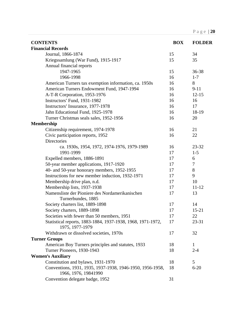| <b>CONTENTS</b>                                                                   | <b>BOX</b> | <b>FOLDER</b> |
|-----------------------------------------------------------------------------------|------------|---------------|
| <b>Financial Records</b>                                                          |            |               |
| Journal, 1866-1874                                                                | 15         | 34            |
| Kriegssamlung (War Fund), 1915-1917                                               | 15         | 35            |
| Annual financial reports                                                          |            |               |
| 1947-1965                                                                         | 15         | 36-38         |
| 1966-1998                                                                         | 16         | $1 - 7$       |
| American Turners tax exemption information, ca. 1950s                             | 16         | 8             |
| American Turners Endowment Fund, 1947-1994                                        | 16         | $9 - 11$      |
| A-T-R Corporation, 1953-1976                                                      | 16         | $12 - 15$     |
| Instructors' Fund, 1931-1982                                                      | 16         | 16            |
| Instructors' Insurance, 1977-1978                                                 | 16         | 17            |
| Jahn Educational Fund, 1925-1978                                                  | 16         | 18-19         |
| Turner Christmas seals sales, 1952-1956                                           | 16         | 20            |
| <b>Membership</b>                                                                 |            |               |
| Citizenship requirement, 1974-1978                                                | 16         | 21            |
| Civic participation reports, 1952                                                 | 16         | 22            |
| <b>Directories</b>                                                                |            |               |
| ca. 1930s, 1954, 1972, 1974-1976, 1979-1989                                       | 16         | 23-32         |
| 1991-1999                                                                         | 17         | $1-5$         |
| Expelled members, 1886-1891                                                       | 17         | 6             |
| 50-year member applications, 1917-1920                                            | 17         | 7             |
| 40- and 50-year honorary members, 1952-1955                                       | 17         | 8             |
| Instructions for new member induction, 1932-1971                                  | 17         | 9             |
| Membership drive plan, n.d.                                                       | 17         | 10            |
| Membership lists, 1937-1938                                                       | 17         | $11 - 12$     |
| Namensliste der Pioniere des Nordamerikanischen                                   | 17         | 13            |
| Turnerbundes, 1885                                                                |            |               |
| Society charters list, 1889-1898                                                  | 17         | 14            |
| Society charters, 1889-1898                                                       | 17         | $15 - 21$     |
| Societies with fewer than 50 members, 1951                                        | 17         | 22            |
| Statistical reports, 1883-1884, 1937-1938, 1968, 1971-1972,<br>1975, 1977-1979    | 17         | 23-31         |
| Withdrawn or dissolved societies, 1970s                                           | 17         | 32            |
| <b>Turner Groups</b>                                                              |            |               |
| American Boy Turners principles and statutes, 1933                                | 18         | $\mathbf{1}$  |
| Turner Pioneers, 1930-1943                                                        | 18         | $2 - 4$       |
| <b>Women's Auxiliary</b>                                                          |            |               |
| Constitution and bylaws, 1931-1970                                                | 18         | 5             |
| Conventions, 1931, 1935, 1937-1938, 1946-1950, 1956-1958,<br>1966, 1976, 19841990 | 18         | $6 - 20$      |
| Convention delegate badge, 1952                                                   | 31         |               |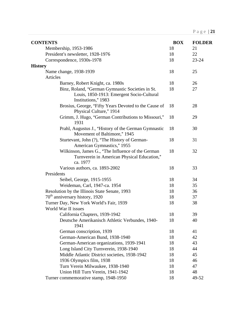| <b>CONTENTS</b>                                                                                                      | <b>BOX</b> | <b>FOLDER</b> |
|----------------------------------------------------------------------------------------------------------------------|------------|---------------|
| Membership, 1953-1986                                                                                                | 18         | 21            |
| President's newsletter, 1928-1976                                                                                    | 18         | 22            |
| Correspondence, 1930s-1978                                                                                           | 18         | 23-24         |
| <b>History</b>                                                                                                       |            |               |
| Name change, 1938-1939                                                                                               | 18         | 25            |
| Articles                                                                                                             |            |               |
| Barney, Robert Knight, ca. 1980s                                                                                     | 18         | 26            |
| Binz, Roland, "German Gymnastic Societies in St.<br>Louis, 1850-1913: Emergent Socio-Cultural<br>Institutions," 1983 | 18         | 27            |
| Brosius, George, "Fifty Years Devoted to the Cause of<br>Physical Culture," 1914                                     | 18         | 28            |
| Grimm, J. Hugo, "German Contributions to Missouri,"<br>1931                                                          | 18         | 29            |
| Prahl, Augustus J., "History of the German Gymnastic<br>Movement of Baltimore," 1945                                 | 18         | 30            |
| Sturtevant, John (?), "The History of German-<br>American Gymnastics," 1955                                          | 18         | 31            |
| Wilkinson, James G., "The Influence of the German<br>Turnverein in American Physical Education,"<br>ca. 1977         | 18         | 32            |
| Various authors, ca. 1893-2002                                                                                       | 18         | 33            |
| Presidents                                                                                                           |            |               |
| Seibel, George, 1915-1955                                                                                            | 18         | 34            |
| Weideman, Carl, 1947-ca. 1954                                                                                        | 18         | 35            |
| Resolution by the Illinois State Senate, 1993                                                                        | 18         | 36            |
| 70 <sup>th</sup> anniversary history, 1920                                                                           | 18         | 37            |
| Turner Day, New York World's Fair, 1939<br>World War II issues                                                       | 18         | 38            |
| California Chapters, 1939-1942                                                                                       | 18         | 39            |
| Deutsche Amerikanisch Athletic Verbundes, 1940-<br>1941                                                              | 18         | 40            |
| German conscription, 1939                                                                                            | 18         | 41            |
| German-American Bund, 1938-1940                                                                                      | 18         | 42            |
| German-American organizations, 1939-1941                                                                             | 18         | 43            |
| Long Island City Turnverein, 1938-1940                                                                               | 18         | 44            |
| Middle Atlantic District societies, 1938-1942                                                                        | 18         | 45            |
| 1936 Olympics film, 1938                                                                                             | 18         | 46            |
| Turn Verein Milwaukee, 1938-1940                                                                                     | 18         | 47            |
| Union Hill Turn Verein, 1941-1942                                                                                    | 18         | 48            |
| Turner commemorative stamp, 1948-1950                                                                                | 18         | 49-52         |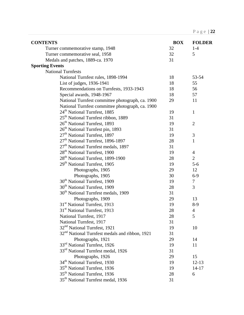| <b>CONTENTS</b>                                            | <b>BOX</b> | <b>FOLDER</b>  |
|------------------------------------------------------------|------------|----------------|
| Turner commemorative stamp, 1948                           | 32         | $1-4$          |
| Turner commemorative seal, 1958                            | 32         | 5              |
| Medals and patches, 1889-ca. 1970                          | 31         |                |
| <b>Sporting Events</b>                                     |            |                |
| <b>National Turnfests</b>                                  |            |                |
| National Turnfest rules, 1898-1994                         | 18         | 53-54          |
| List of judges, 1936-1941                                  | 18         | 55             |
| Recommendations on Turnfests, 1933-1943                    | 18         | 56             |
| Special awards, 1948-1967                                  | 18         | 57             |
| National Turnfest committee photograph, ca. 1900           | 29         | 11             |
| National Turnfest committee photograph, ca. 1900           |            |                |
| 24 <sup>th</sup> National Turnfest, 1885                   | 19         | $\mathbf{1}$   |
| 25 <sup>th</sup> National Turnfest ribbon, 1889            | 31         |                |
| 26 <sup>th</sup> National Turnfest, 1893                   | 19         | $\overline{2}$ |
| 26 <sup>th</sup> National Turnfest pin, 1893               | 31         |                |
| 27 <sup>th</sup> National Turnfest, 1897                   | 19         | 3              |
| 27 <sup>th</sup> National Turnfest, 1896-1897              | 28         | $\mathbf{1}$   |
| 27 <sup>th</sup> National Turnfest medals, 1897            | 31         |                |
| 28 <sup>th</sup> National Turnfest, 1900                   | 19         | $\overline{4}$ |
| 28 <sup>th</sup> National Turnfest, 1899-1900              | 28         | $\overline{2}$ |
| 29 <sup>th</sup> National Turnfest, 1905                   | 19         | $5 - 6$        |
| Photographs, 1905                                          | 29         | 12             |
| Photographs, 1905                                          | 30         | $6 - 9$        |
| 30 <sup>th</sup> National Turnfest, 1909                   | 19         | $\tau$         |
| 30 <sup>th</sup> National Turnfest, 1909                   | 28         | 3              |
| 30 <sup>th</sup> National Turnfest medals, 1909            | 31         |                |
| Photographs, 1909                                          | 29         | 13             |
| 31 <sup>st</sup> National Turnfest, 1913                   | 19         | $8-9$          |
| 31 <sup>st</sup> National Turnfest, 1913                   | 28         | $\overline{4}$ |
| National Turnfest, 1917                                    | 28         | 5              |
| National Turnfest, 1917                                    | 31         |                |
| 32 <sup>nd</sup> National Turnfest, 1921                   | 19         | 10             |
| 32 <sup>nd</sup> National Turnfest medals and ribbon, 1921 | 31         |                |
| Photographs, 1921                                          | 29         | 14             |
| 33rd National Turnfest, 1926                               | 19         | 11             |
| 33 <sup>rd</sup> National Turnfest medal, 1926             | 31         |                |
| Photographs, 1926                                          | 29         | 15             |
| 34 <sup>th</sup> National Turnfest, 1930                   | 19         | $12 - 13$      |
| 35 <sup>th</sup> National Turnfest, 1936                   | 19         | $14 - 17$      |
| 35 <sup>th</sup> National Turnfest, 1936                   | 28         | 6              |
| 35 <sup>th</sup> National Turnfest medal, 1936             | 31         |                |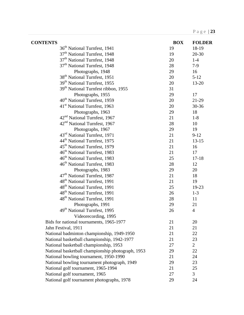| <b>CONTENTS</b>                                   | <b>BOX</b> | <b>FOLDER</b>  |
|---------------------------------------------------|------------|----------------|
| 36 <sup>th</sup> National Turnfest, 1941          | 19         | 18-19          |
| 37 <sup>th</sup> National Turnfest, 1948          | 19         | 20-30          |
| 37 <sup>th</sup> National Turnfest, 1948          | 20         | $1-4$          |
| 37 <sup>th</sup> National Turnfest, 1948          | 28         | $7-9$          |
| Photographs, 1948                                 | 29         | 16             |
| 38 <sup>th</sup> National Turnfest, 1951          | 20         | $5 - 12$       |
| 39 <sup>th</sup> National Turnfest, 1955          | 20         | $13 - 20$      |
| 39 <sup>th</sup> National Turnfest ribbon, 1955   | 31         |                |
| Photographs, 1955                                 | 29         | 17             |
| 40 <sup>th</sup> National Turnfest, 1959          | 20         | 21-29          |
| 41 <sup>st</sup> National Turnfest, 1963          | $20\,$     | 30-36          |
| Photographs, 1963                                 | 29         | 18             |
| 42 <sup>nd</sup> National Turnfest, 1967          | 21         | $1-8$          |
| 42 <sup>nd</sup> National Turnfest, 1967          | 28         | 10             |
| Photographs, 1967                                 | 29         | 19             |
| 43 <sup>rd</sup> National Turnfest, 1971          | 21         | $9 - 12$       |
| 44 <sup>th</sup> National Turnfest, 1975          | 21         | $13 - 15$      |
| 45 <sup>th</sup> National Turnfest, 1979          | 21         | 16             |
| 46 <sup>th</sup> National Turnfest, 1983          | 21         | 17             |
| 46 <sup>th</sup> National Turnfest, 1983          | 25         | $17 - 18$      |
| 46 <sup>th</sup> National Turnfest, 1983          | 28         | 12             |
| Photographs, 1983                                 | 29         | 20             |
| 47 <sup>th</sup> National Turnfest, 1987          | 21         | 18             |
| 48 <sup>th</sup> National Turnfest, 1991          | 21         | 19             |
| 48 <sup>th</sup> National Turnfest, 1991          | 25         | 19-23          |
| 48 <sup>th</sup> National Turnfest, 1991          | 26         | $1 - 3$        |
| 48 <sup>th</sup> National Turnfest, 1991          | 28         | 11             |
| Photographs, 1991                                 | 29         | 21             |
| 49 <sup>th</sup> National Turnfest, 1995          | 26         | $\overline{4}$ |
| Videorecording, 1995                              |            |                |
| Bids for national tournaments, 1965-1977          | 21         | 20             |
| Jahn Festival, 1911                               | 21         | 21             |
| National badminton championship, 1949-1950        | 21         | 22             |
| National basketball championship, 1942-1977       | 21         | 23             |
| National basketball championship, 1953            | 27         | $\overline{2}$ |
| National basketball championship photograph, 1953 | 29         | 22             |
| National bowling tournament, 1950-1990            | 21         | 24             |
| National bowling tournament photograph, 1949      | 29         | 23             |
| National golf tournament, 1965-1994               | 21         | 25             |
| National golf tournament, 1965                    | 27         | 3              |
| National golf tournament photographs, 1978        | 29         | 24             |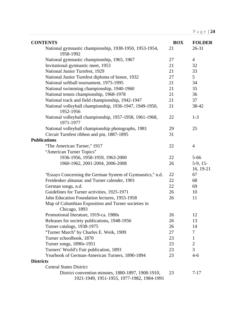| <b>CONTENTS</b>                                                                                  | <b>BOX</b> | <b>FOLDER</b>           |
|--------------------------------------------------------------------------------------------------|------------|-------------------------|
| National gymnastic championship, 1938-1950, 1953-1954,<br>1958-1992                              | 21         | 26-31                   |
| National gymnastic championship, 1965, 1967                                                      | 27         | $\overline{4}$          |
| Invitational gymnastic meet, 1953                                                                | 21         | 32                      |
| National Junior Turnfest, 1929                                                                   | 21         | 33                      |
| National Junior Turnfest diploma of honor, 1932                                                  | 27         | 5                       |
| National softball tournament, 1975-1995                                                          | 21         | 34                      |
| National swimming championship, 1940-1960                                                        | 21         | 35                      |
| National tennis championship, 1968-1978                                                          | 21         | 36                      |
| National track and field championship, 1942-1947                                                 | 21         | 37                      |
| National volleyball championship, 1936-1947, 1949-1950,<br>1952-1956                             | 21         | 38-42                   |
| National volleyball championship, 1957-1958, 1961-1968,<br>1971-1977                             | 22         | $1 - 3$                 |
| National volleyball championship photographs, 1981                                               | 29         | 25                      |
| Circuit Turnfest ribbon and pin, 1887-1895                                                       | 31         |                         |
| <b>Publications</b>                                                                              |            |                         |
| "The American Turner," 1917                                                                      | 22         | $\overline{4}$          |
| "American Turner Topics"                                                                         |            |                         |
| 1936-1956, 1958-1959, 1963-2000                                                                  | 22         | $5 - 66$                |
| 1960-1962, 2001-2004, 2006-2008                                                                  | 26         | $5-9, 15-$<br>16, 19-21 |
| "Essays Concerning the German System of Gymnastics," n.d.                                        | 22         | 67                      |
| Freidenker almanac and Turner calender, 1901                                                     | 22         | 68                      |
| German songs, n.d.                                                                               | 22         | 69                      |
| Guidelines for Turner activities, 1925-1971                                                      | 26         | 10                      |
| Jahn Education Foundation lectures, 1955-1958                                                    | 26         | 11                      |
| Map of Columbian Exposition and Turner societies in<br>Chicago, 1893                             |            |                         |
| Promotional literature, 1919-ca. 1980s                                                           | 26         | 12                      |
| Releases for society publications, 1948-1956                                                     | 26         | 13                      |
| Turner catalogs, 1938-1975                                                                       | 26         | 14                      |
| "Turner March" by Charles E. Weik, 1909                                                          | 27         | $\overline{7}$          |
| Turner schoolbook, 1870                                                                          | 23         | $\mathbf{1}$            |
| Turner songs, 1890s-1951                                                                         | 23         | $\overline{2}$          |
| Turners' World's Fair publication, 1893                                                          | 23         | 3                       |
| Yearbook of German-American Turners, 1890-1894                                                   | 23         | $4 - 6$                 |
| <b>Districts</b>                                                                                 |            |                         |
| <b>Central States District</b>                                                                   |            |                         |
| District convention minutes, 1880-1897, 1908-1910,<br>1921-1949, 1951-1955, 1977-1982, 1984-1991 | 23         | $7 - 17$                |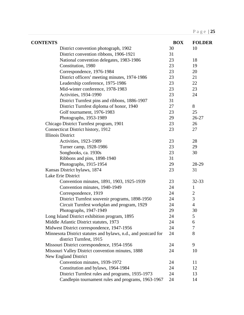| <b>CONTENTS</b>                                                                           | <b>BOX</b> | <b>FOLDER</b>  |
|-------------------------------------------------------------------------------------------|------------|----------------|
| District convention photograph, 1902                                                      | 30         | 10             |
| District convention ribbons, 1906-1921                                                    | 31         |                |
| National convention delegates, 1983-1986                                                  | 23         | 18             |
| Constitution, 1980                                                                        | 23         | 19             |
| Correspondence, 1976-1984                                                                 | 23         | 20             |
| District officers' meeting minutes, 1974-1986                                             | 23         | 21             |
| Leadership conference, 1975-1986                                                          | 23         | 22             |
| Mid-winter conference, 1978-1983                                                          | 23         | 23             |
| <b>Activities, 1934-1990</b>                                                              | 23         | 24             |
| District Turnfest pins and ribbons, 1886-1907                                             | 31         |                |
| District Turnfest diploma of honor, 1940                                                  | 27         | 8              |
| Golf tournament, 1976-1983                                                                | 23         | 25             |
| Photographs, 1953-1989                                                                    | 29         | 26-27          |
| Chicago District Turnfest program, 1901                                                   | 23         | 26             |
| Connecticut District history, 1912                                                        | 23         | 27             |
| <b>Illinois District</b>                                                                  |            |                |
| <b>Activities, 1923-1989</b>                                                              | 23         | 28             |
| Turner camp, 1928-1986                                                                    | 23         | 29             |
| Songbooks, ca. 1930s                                                                      | 23         | 30             |
| Ribbons and pins, 1898-1940                                                               | 31         |                |
| Photographs, 1915-1954                                                                    | 29         | 28-29          |
| Kansas District bylaws, 1874                                                              | 23         | 31             |
| Lake Erie District                                                                        |            |                |
| Convention minutes, 1891, 1903, 1925-1939                                                 | 23         | 32-33          |
| Convention minutes, 1940-1949                                                             | 24         | $\mathbf{1}$   |
| Correspondence, 1919                                                                      | 24         | $\overline{c}$ |
| District Turnfest souvenir programs, 1898-1950                                            | 24         | 3              |
| Circuit Turnfest workplan and program, 1929                                               | 24         | $\overline{4}$ |
| Photographs, 1947-1949                                                                    | 29         | 30             |
| Long Island District exhibition program, 1895                                             | 24         | 5              |
| Middle Atlantic District statutes, 1973                                                   | 24         | 6              |
| Midwest District correspondence, 1947-1956                                                | 24         | 7              |
| Minnesota District statutes and bylaws, n.d., and postcard for<br>district Turnfest, 1915 | 24         | 8              |
| Missouri District correspondence, 1954-1956                                               | 24         | 9              |
| Missouri Valley District convention minutes, 1888                                         | 24         | 10             |
| New England District                                                                      |            |                |
| Convention minutes, 1939-1972                                                             | 24         | 11             |
| Constitution and bylaws, 1964-1984                                                        | 24         | 12             |
| District Turnfest rules and programs, 1935-1973                                           | 24         | 13             |
| Candlepin tournament rules and programs, 1963-1967                                        | 24         | 14             |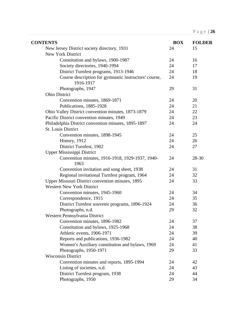| <b>CONTENTS</b>                                                    | <b>BOX</b> | <b>FOLDER</b> |
|--------------------------------------------------------------------|------------|---------------|
| New Jersey District society directory, 1931                        | 24         | 15            |
| New York District                                                  |            |               |
| Constitution and bylaws, 1900-1987                                 | 24         | 16            |
| Society directories, 1940-1994                                     | 24         | 17            |
| District Turnfest programs, 1913-1946                              | 24         | 18            |
| Course description for gymnastic instructors' course,<br>1916-1917 | 24         | 19            |
| Photographs, 1947                                                  | 29         | 31            |
| <b>Ohio District</b>                                               |            |               |
| Convention minutes, 1869-1871                                      | 24         | 20            |
| Publications, 1885-1928                                            | 24         | 21            |
| Ohio Valley District convention minutes, 1873-1879                 | 24         | 22            |
| Pacific District convention minutes, 1949                          | 24         | 23            |
| Philadelphia District convention minutes, 1895-1897                | 24         | 24            |
| <b>St. Louis District</b>                                          |            |               |
| Convention minutes, 1898-1945                                      | 24         | 25            |
| History, 1912                                                      | 24         | 26            |
| District Turnfest, 1902                                            | 24         | 27            |
| Upper Mississippi District                                         |            |               |
| Convention minutes, 1916-1918, 1929-1937, 1940-<br>1963            | 24         | 28-30         |
| Convention invitation and song sheet, 1938                         | 24         | 31            |
| Regional invitational Turnfest program, 1964                       | 24         | 32            |
| Upper Missouri District convention minutes, 1895                   | 24         | 33            |
| <b>Western New York District</b>                                   |            |               |
| Convention minutes, 1945-1960                                      | 24         | 34            |
| Correspondence, 1915                                               | 24         | 35            |
| District Turnfest souvenir programs, 1896-1924                     | 24         | 36            |
| Photographs, n.d.                                                  | 29         | 32            |
| Western Pennsylvania District                                      |            |               |
| Convention minutes, 1896-1982                                      | 24         | 37            |
| Constitution and bylaws, 1925-1968                                 | 24         | 38            |
| Athletic events, 1906-1971                                         | 24         | 39            |
| Reports and publications, 1936-1982                                | 24         | 40            |
| Women's Auxiliary constitution and bylaws, 1969                    | 24         | 41            |
| Photographs, 1950-1971                                             | 29         | 33            |
| <b>Wisconsin District</b>                                          |            |               |
| Convention minutes and reports, 1895-1994                          | 24         | 42            |
| Listing of societies, n.d.                                         | 24         | 43            |
| District Turnfest program, 1938                                    | 24         | 44            |
| Photographs, 1950                                                  | 29         | 34            |